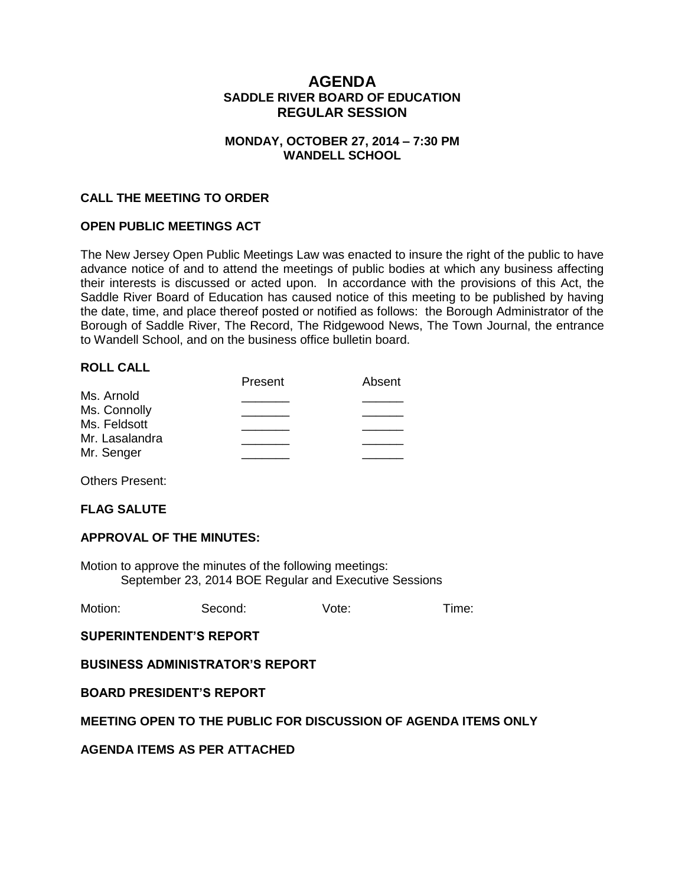## **AGENDA SADDLE RIVER BOARD OF EDUCATION REGULAR SESSION**

### **MONDAY, OCTOBER 27, 2014 – 7:30 PM WANDELL SCHOOL**

### **CALL THE MEETING TO ORDER**

#### **OPEN PUBLIC MEETINGS ACT**

The New Jersey Open Public Meetings Law was enacted to insure the right of the public to have advance notice of and to attend the meetings of public bodies at which any business affecting their interests is discussed or acted upon. In accordance with the provisions of this Act, the Saddle River Board of Education has caused notice of this meeting to be published by having the date, time, and place thereof posted or notified as follows: the Borough Administrator of the Borough of Saddle River, The Record, The Ridgewood News, The Town Journal, the entrance to Wandell School, and on the business office bulletin board.

#### **ROLL CALL**

|                | Present | Absent |
|----------------|---------|--------|
| Ms. Arnold     |         |        |
| Ms. Connolly   |         |        |
| Ms. Feldsott   |         |        |
| Mr. Lasalandra |         |        |
| Mr. Senger     |         |        |
|                |         |        |

Others Present:

#### **FLAG SALUTE**

#### **APPROVAL OF THE MINUTES:**

Motion to approve the minutes of the following meetings: September 23, 2014 BOE Regular and Executive Sessions

Motion: Second: Vote: Time:

**SUPERINTENDENT'S REPORT**

**BUSINESS ADMINISTRATOR'S REPORT**

**BOARD PRESIDENT'S REPORT**

#### **MEETING OPEN TO THE PUBLIC FOR DISCUSSION OF AGENDA ITEMS ONLY**

**AGENDA ITEMS AS PER ATTACHED**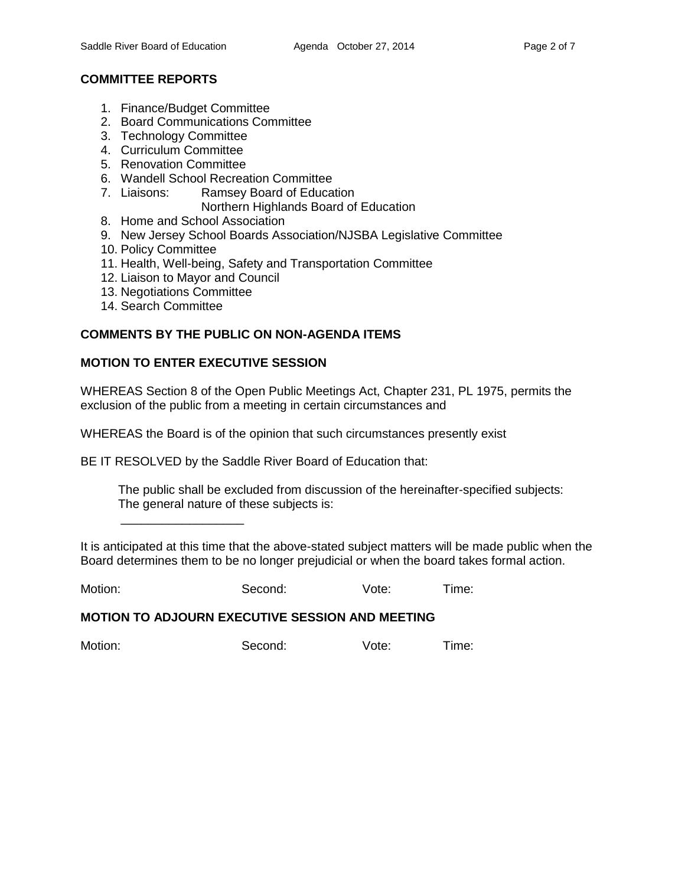### **COMMITTEE REPORTS**

- 1. Finance/Budget Committee
- 2. Board Communications Committee
- 3. Technology Committee
- 4. Curriculum Committee
- 5. Renovation Committee
- 6. Wandell School Recreation Committee
- 7. Liaisons: Ramsey Board of Education
	- Northern Highlands Board of Education
- 8. Home and School Association
- 9. New Jersey School Boards Association/NJSBA Legislative Committee
- 10. Policy Committee
- 11. Health, Well-being, Safety and Transportation Committee
- 12. Liaison to Mayor and Council
- 13. Negotiations Committee

\_\_\_\_\_\_\_\_\_\_\_\_\_\_\_\_\_\_

14. Search Committee

#### **COMMENTS BY THE PUBLIC ON NON-AGENDA ITEMS**

### **MOTION TO ENTER EXECUTIVE SESSION**

WHEREAS Section 8 of the Open Public Meetings Act, Chapter 231, PL 1975, permits the exclusion of the public from a meeting in certain circumstances and

WHEREAS the Board is of the opinion that such circumstances presently exist

BE IT RESOLVED by the Saddle River Board of Education that:

 The public shall be excluded from discussion of the hereinafter-specified subjects: The general nature of these subjects is:

It is anticipated at this time that the above-stated subject matters will be made public when the Board determines them to be no longer prejudicial or when the board takes formal action.

Motion: Second: Vote: Time:

#### **MOTION TO ADJOURN EXECUTIVE SESSION AND MEETING**

Motion: Second: Vote: Time: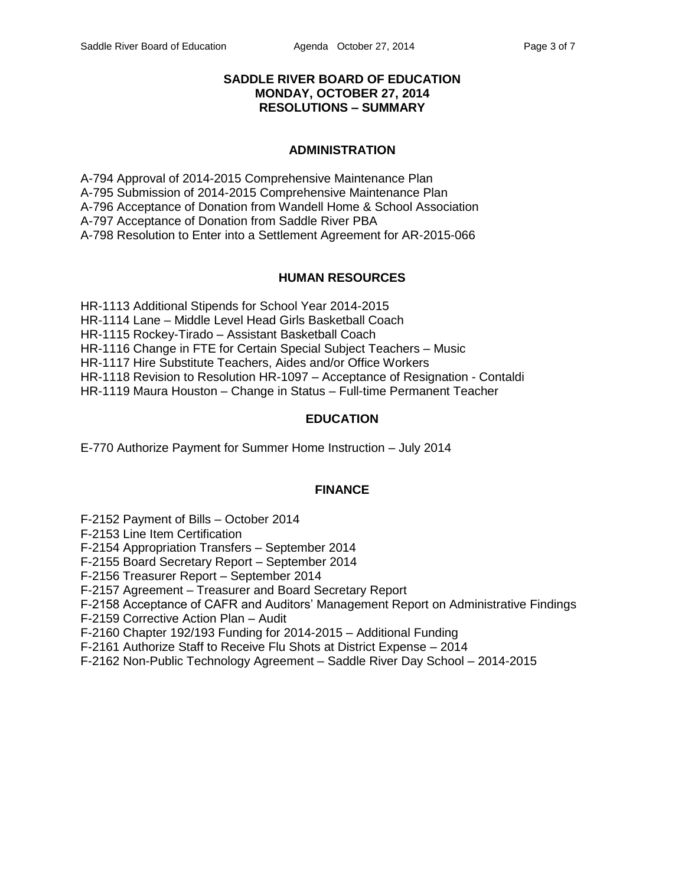### **SADDLE RIVER BOARD OF EDUCATION MONDAY, OCTOBER 27, 2014 RESOLUTIONS – SUMMARY**

### **ADMINISTRATION**

A-794 Approval of 2014-2015 Comprehensive Maintenance Plan A-795 Submission of 2014-2015 Comprehensive Maintenance Plan A-796 Acceptance of Donation from Wandell Home & School Association A-797 Acceptance of Donation from Saddle River PBA A-798 Resolution to Enter into a Settlement Agreement for AR-2015-066

### **HUMAN RESOURCES**

HR-1113 Additional Stipends for School Year 2014-2015 HR-1114 Lane – Middle Level Head Girls Basketball Coach HR-1115 Rockey-Tirado – Assistant Basketball Coach HR-1116 Change in FTE for Certain Special Subject Teachers – Music HR-1117 Hire Substitute Teachers, Aides and/or Office Workers HR-1118 Revision to Resolution HR-1097 – Acceptance of Resignation - Contaldi HR-1119 Maura Houston – Change in Status – Full-time Permanent Teacher

#### **EDUCATION**

E-770 Authorize Payment for Summer Home Instruction – July 2014

#### **FINANCE**

F-2152 Payment of Bills – October 2014

F-2153 Line Item Certification

F-2154 Appropriation Transfers – September 2014

F-2155 Board Secretary Report – September 2014

F-2156 Treasurer Report – September 2014

F-2157 Agreement – Treasurer and Board Secretary Report

F-2158 Acceptance of CAFR and Auditors' Management Report on Administrative Findings

F-2159 Corrective Action Plan – Audit

F-2160 Chapter 192/193 Funding for 2014-2015 – Additional Funding

F-2161 Authorize Staff to Receive Flu Shots at District Expense – 2014

F-2162 Non-Public Technology Agreement – Saddle River Day School – 2014-2015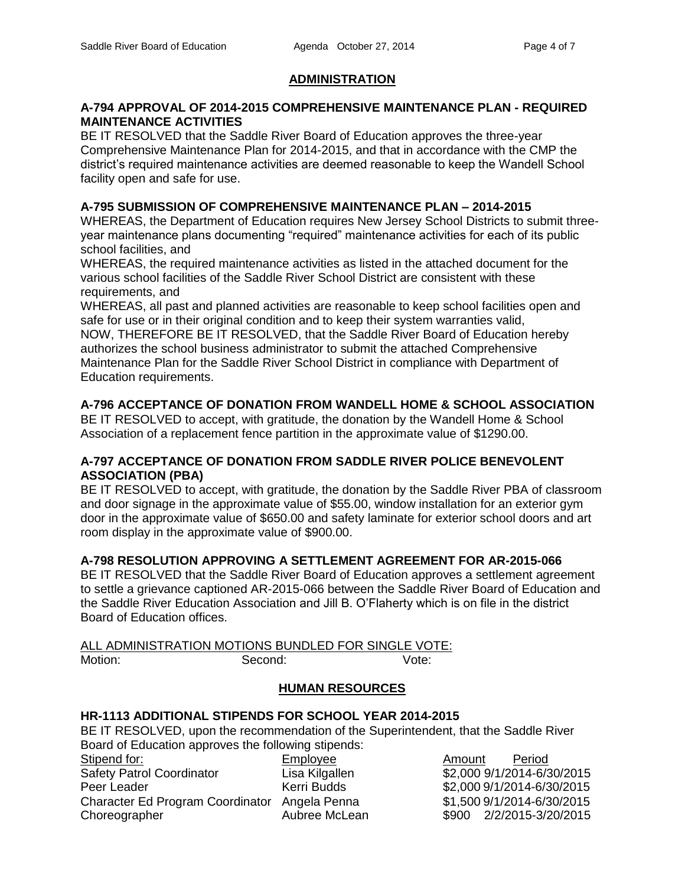### **ADMINISTRATION**

#### **A-794 APPROVAL OF 2014-2015 COMPREHENSIVE MAINTENANCE PLAN - REQUIRED MAINTENANCE ACTIVITIES**

BE IT RESOLVED that the Saddle River Board of Education approves the three-year Comprehensive Maintenance Plan for 2014-2015, and that in accordance with the CMP the district's required maintenance activities are deemed reasonable to keep the Wandell School facility open and safe for use.

### **A-795 SUBMISSION OF COMPREHENSIVE MAINTENANCE PLAN – 2014-2015**

WHEREAS, the Department of Education requires New Jersey School Districts to submit threeyear maintenance plans documenting "required" maintenance activities for each of its public school facilities, and

WHEREAS, the required maintenance activities as listed in the attached document for the various school facilities of the Saddle River School District are consistent with these requirements, and

WHEREAS, all past and planned activities are reasonable to keep school facilities open and safe for use or in their original condition and to keep their system warranties valid, NOW, THEREFORE BE IT RESOLVED, that the Saddle River Board of Education hereby authorizes the school business administrator to submit the attached Comprehensive Maintenance Plan for the Saddle River School District in compliance with Department of Education requirements.

# **A-796 ACCEPTANCE OF DONATION FROM WANDELL HOME & SCHOOL ASSOCIATION**

BE IT RESOLVED to accept, with gratitude, the donation by the Wandell Home & School Association of a replacement fence partition in the approximate value of \$1290.00.

### **A-797 ACCEPTANCE OF DONATION FROM SADDLE RIVER POLICE BENEVOLENT ASSOCIATION (PBA)**

BE IT RESOLVED to accept, with gratitude, the donation by the Saddle River PBA of classroom and door signage in the approximate value of \$55.00, window installation for an exterior gym door in the approximate value of \$650.00 and safety laminate for exterior school doors and art room display in the approximate value of \$900.00.

### **A-798 RESOLUTION APPROVING A SETTLEMENT AGREEMENT FOR AR-2015-066**

BE IT RESOLVED that the Saddle River Board of Education approves a settlement agreement to settle a grievance captioned AR-2015-066 between the Saddle River Board of Education and the Saddle River Education Association and Jill B. O'Flaherty which is on file in the district Board of Education offices.

|         | ALL ADMINISTRATION MOTIONS BUNDLED FOR SINGLE VOTE: |       |
|---------|-----------------------------------------------------|-------|
| Motion: | Second:                                             | Vote: |

# **HUMAN RESOURCES**

# **HR-1113 ADDITIONAL STIPENDS FOR SCHOOL YEAR 2014-2015**

BE IT RESOLVED, upon the recommendation of the Superintendent, that the Saddle River Board of Education approves the following stipends:

| Stipend for:                                  | Employee       | Amount | Period              |
|-----------------------------------------------|----------------|--------|---------------------|
| <b>Safety Patrol Coordinator</b>              | Lisa Kilgallen |        | \$2,000 9/1/2014-6/ |
| Peer Leader                                   | Kerri Budds    |        | \$2,000 9/1/2014-6/ |
| Character Ed Program Coordinator Angela Penna |                |        | \$1,500 9/1/2014-6/ |
| Choreographer                                 | Aubree McLean  |        | \$900 2/2/2015-3/   |

Isa Kilgallen  $$2,000\,9/1/2014-6/30/2015$ erri Budds \$2,000 9/1/2014-6/30/2015 ngela Penna  $$1,500\frac{9}{12014 - 6/30/2015}$ ubree McLean  $$900 \quad 2/2/2015-3/20/2015$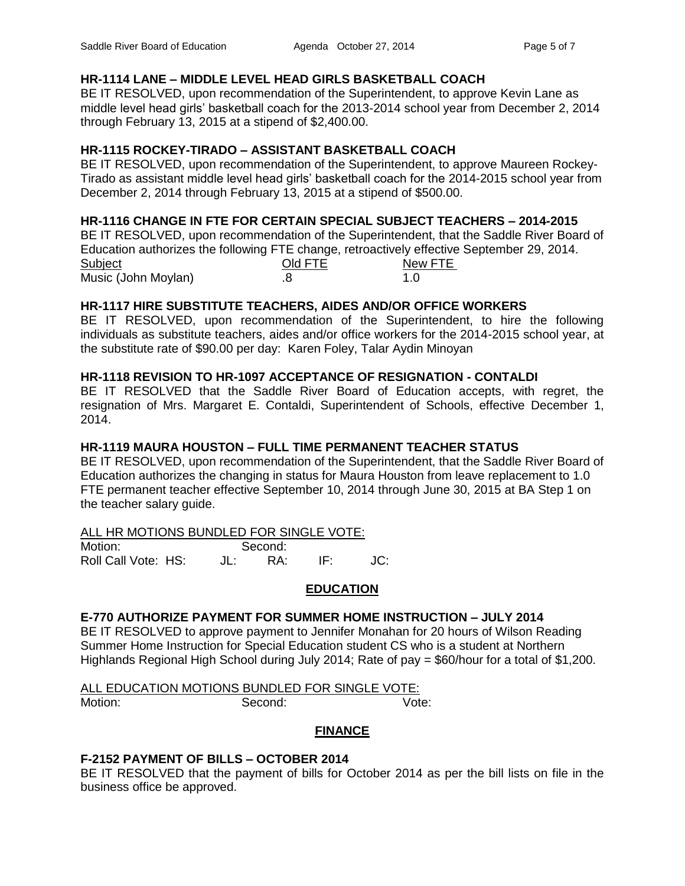# **HR-1114 LANE – MIDDLE LEVEL HEAD GIRLS BASKETBALL COACH**

BE IT RESOLVED, upon recommendation of the Superintendent, to approve Kevin Lane as middle level head girls' basketball coach for the 2013-2014 school year from December 2, 2014 through February 13, 2015 at a stipend of \$2,400.00.

# **HR-1115 ROCKEY-TIRADO – ASSISTANT BASKETBALL COACH**

BE IT RESOLVED, upon recommendation of the Superintendent, to approve Maureen Rockey-Tirado as assistant middle level head girls' basketball coach for the 2014-2015 school year from December 2, 2014 through February 13, 2015 at a stipend of \$500.00.

# **HR-1116 CHANGE IN FTE FOR CERTAIN SPECIAL SUBJECT TEACHERS – 2014-2015**

BE IT RESOLVED, upon recommendation of the Superintendent, that the Saddle River Board of Education authorizes the following FTE change, retroactively effective September 29, 2014.

| Subject             | Old FTE | New FTE |
|---------------------|---------|---------|
| Music (John Moylan) |         |         |

# **HR-1117 HIRE SUBSTITUTE TEACHERS, AIDES AND/OR OFFICE WORKERS**

BE IT RESOLVED, upon recommendation of the Superintendent, to hire the following individuals as substitute teachers, aides and/or office workers for the 2014-2015 school year, at the substitute rate of \$90.00 per day: Karen Foley, Talar Aydin Minoyan

# **HR-1118 REVISION TO HR-1097 ACCEPTANCE OF RESIGNATION - CONTALDI**

BE IT RESOLVED that the Saddle River Board of Education accepts, with regret, the resignation of Mrs. Margaret E. Contaldi, Superintendent of Schools, effective December 1, 2014.

# **HR-1119 MAURA HOUSTON – FULL TIME PERMANENT TEACHER STATUS**

BE IT RESOLVED, upon recommendation of the Superintendent, that the Saddle River Board of Education authorizes the changing in status for Maura Houston from leave replacement to 1.0 FTE permanent teacher effective September 10, 2014 through June 30, 2015 at BA Step 1 on the teacher salary guide.

### ALL HR MOTIONS BUNDLED FOR SINGLE VOTE:

Motion: Second: Roll Call Vote: HS: JL: RA: IF: JC:

### **EDUCATION**

# **E-770 AUTHORIZE PAYMENT FOR SUMMER HOME INSTRUCTION – JULY 2014**

BE IT RESOLVED to approve payment to Jennifer Monahan for 20 hours of Wilson Reading Summer Home Instruction for Special Education student CS who is a student at Northern Highlands Regional High School during July 2014; Rate of pay = \$60/hour for a total of \$1,200.

#### ALL EDUCATION MOTIONS BUNDLED FOR SINGLE VOTE: Motion: Second: Vote:

# **FINANCE**

# **F-2152 PAYMENT OF BILLS – OCTOBER 2014**

BE IT RESOLVED that the payment of bills for October 2014 as per the bill lists on file in the business office be approved.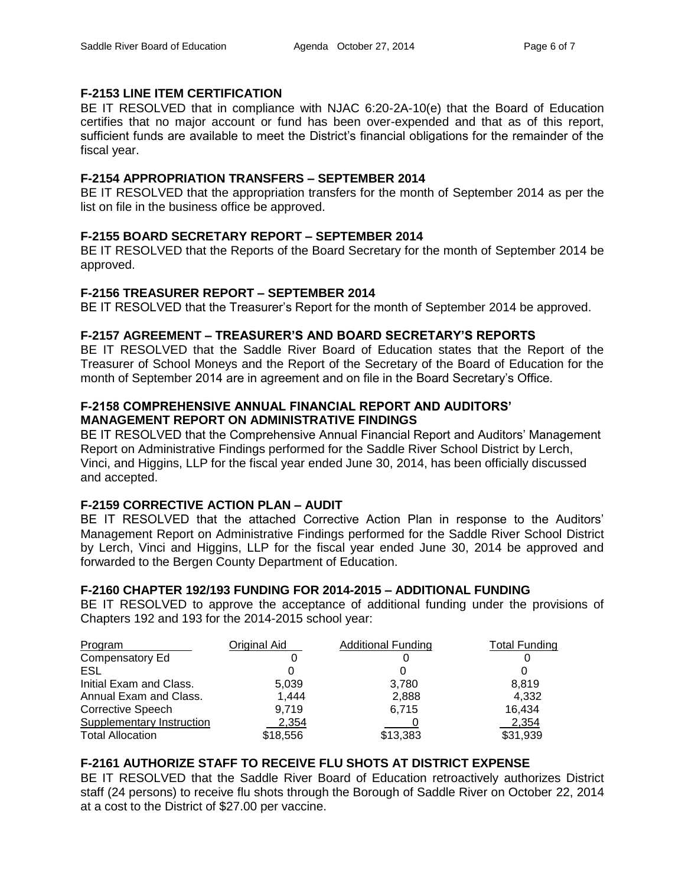### **F-2153 LINE ITEM CERTIFICATION**

BE IT RESOLVED that in compliance with NJAC 6:20-2A-10(e) that the Board of Education certifies that no major account or fund has been over-expended and that as of this report, sufficient funds are available to meet the District's financial obligations for the remainder of the fiscal year.

## **F-2154 APPROPRIATION TRANSFERS – SEPTEMBER 2014**

BE IT RESOLVED that the appropriation transfers for the month of September 2014 as per the list on file in the business office be approved.

## **F-2155 BOARD SECRETARY REPORT – SEPTEMBER 2014**

BE IT RESOLVED that the Reports of the Board Secretary for the month of September 2014 be approved.

### **F-2156 TREASURER REPORT – SEPTEMBER 2014**

BE IT RESOLVED that the Treasurer's Report for the month of September 2014 be approved.

## **F-2157 AGREEMENT – TREASURER'S AND BOARD SECRETARY'S REPORTS**

BE IT RESOLVED that the Saddle River Board of Education states that the Report of the Treasurer of School Moneys and the Report of the Secretary of the Board of Education for the month of September 2014 are in agreement and on file in the Board Secretary's Office.

## **F-2158 COMPREHENSIVE ANNUAL FINANCIAL REPORT AND AUDITORS' MANAGEMENT REPORT ON ADMINISTRATIVE FINDINGS**

BE IT RESOLVED that the Comprehensive Annual Financial Report and Auditors' Management Report on Administrative Findings performed for the Saddle River School District by Lerch, Vinci, and Higgins, LLP for the fiscal year ended June 30, 2014, has been officially discussed and accepted.

# **F-2159 CORRECTIVE ACTION PLAN – AUDIT**

BE IT RESOLVED that the attached Corrective Action Plan in response to the Auditors' Management Report on Administrative Findings performed for the Saddle River School District by Lerch, Vinci and Higgins, LLP for the fiscal year ended June 30, 2014 be approved and forwarded to the Bergen County Department of Education.

### **F-2160 CHAPTER 192/193 FUNDING FOR 2014-2015 – ADDITIONAL FUNDING**

BE IT RESOLVED to approve the acceptance of additional funding under the provisions of Chapters 192 and 193 for the 2014-2015 school year:

| Program                   | Original Aid | <b>Additional Funding</b> | <b>Total Funding</b> |
|---------------------------|--------------|---------------------------|----------------------|
| Compensatory Ed           |              |                           |                      |
| ESL                       |              |                           |                      |
| Initial Exam and Class.   | 5,039        | 3,780                     | 8.819                |
| Annual Exam and Class.    | 1,444        | 2,888                     | 4,332                |
| <b>Corrective Speech</b>  | 9.719        | 6.715                     | 16,434               |
| Supplementary Instruction | 2,354        |                           | 2,354                |
| <b>Total Allocation</b>   | \$18,556     | \$13,383                  | \$31,939             |

### **F-2161 AUTHORIZE STAFF TO RECEIVE FLU SHOTS AT DISTRICT EXPENSE**

BE IT RESOLVED that the Saddle River Board of Education retroactively authorizes District staff (24 persons) to receive flu shots through the Borough of Saddle River on October 22, 2014 at a cost to the District of \$27.00 per vaccine.